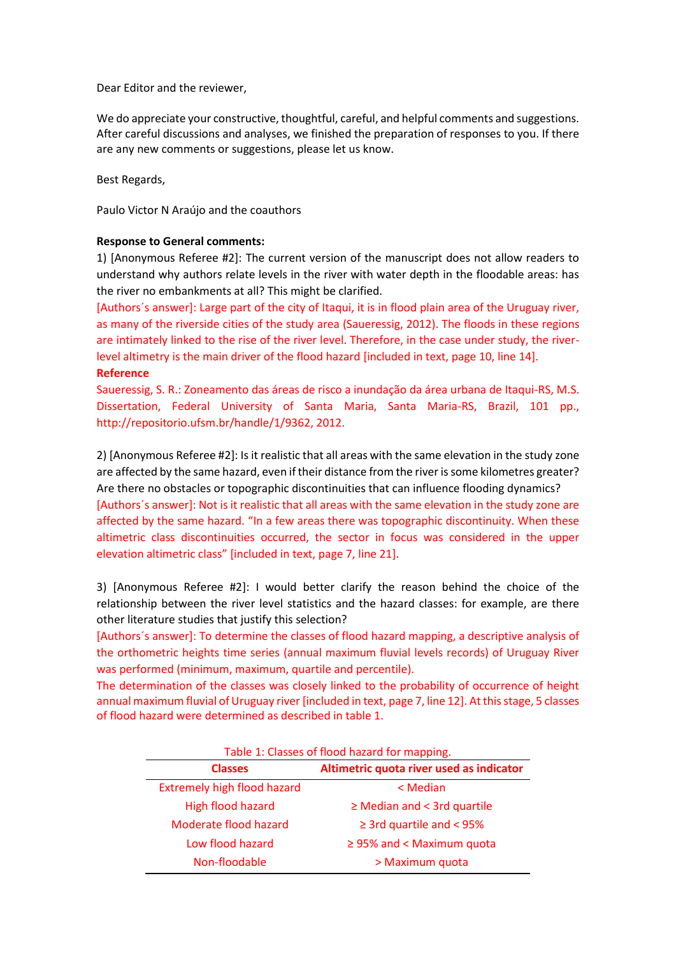Dear Editor and the reviewer,

We do appreciate your constructive, thoughtful, careful, and helpful comments and suggestions. After careful discussions and analyses, we finished the preparation of responses to you. If there are any new comments or suggestions, please let us know.

Best Regards,

Paulo Victor N Araújo and the coauthors

## **Response to General comments:**

1) [Anonymous Referee #2]: The current version of the manuscript does not allow readers to understand why authors relate levels in the river with water depth in the floodable areas: has the river no embankments at all? This might be clarified.

[Authors´s answer]: Large part of the city of Itaqui, it is in flood plain area of the Uruguay river, as many of the riverside cities of the study area (Saueressig, 2012). The floods in these regions are intimately linked to the rise of the river level. Therefore, in the case under study, the riverlevel altimetry is the main driver of the flood hazard [included in text, page 10, line 14]. **Reference**

Saueressig, S. R.: Zoneamento das áreas de risco a inundação da área urbana de Itaqui-RS, M.S. Dissertation, Federal University of Santa Maria, Santa Maria-RS, Brazil, 101 pp., http://repositorio.ufsm.br/handle/1/9362, 2012.

2) [Anonymous Referee #2]: Is it realistic that all areas with the same elevation in the study zone are affected by the same hazard, even if their distance from the river is some kilometres greater? Are there no obstacles or topographic discontinuities that can influence flooding dynamics? [Authors´s answer]: Not is it realistic that all areas with the same elevation in the study zone are affected by the same hazard. "In a few areas there was topographic discontinuity. When these altimetric class discontinuities occurred, the sector in focus was considered in the upper elevation altimetric class" [included in text, page 7, line 21].

3) [Anonymous Referee #2]: I would better clarify the reason behind the choice of the relationship between the river level statistics and the hazard classes: for example, are there other literature studies that justify this selection?

[Authors´s answer]: To determine the classes of flood hazard mapping, a descriptive analysis of the orthometric heights time series (annual maximum fluvial levels records) of Uruguay River was performed (minimum, maximum, quartile and percentile).

The determination of the classes was closely linked to the probability of occurrence of height annual maximum fluvial of Uruguay river [included in text, page 7, line 12]. At this stage, 5 classes of flood hazard were determined as described in table 1.

| <b>Classes</b>                     | Altimetric quota river used as indicator |
|------------------------------------|------------------------------------------|
| <b>Extremely high flood hazard</b> | < Median                                 |
| High flood hazard                  | $\geq$ Median and < 3rd quartile         |
| Moderate flood hazard              | $\geq$ 3rd quartile and < 95%            |
| Low flood hazard                   | $\geq$ 95% and < Maximum quota           |
| Non-floodable                      | > Maximum quota                          |

Table 1: Classes of flood hazard for mapping.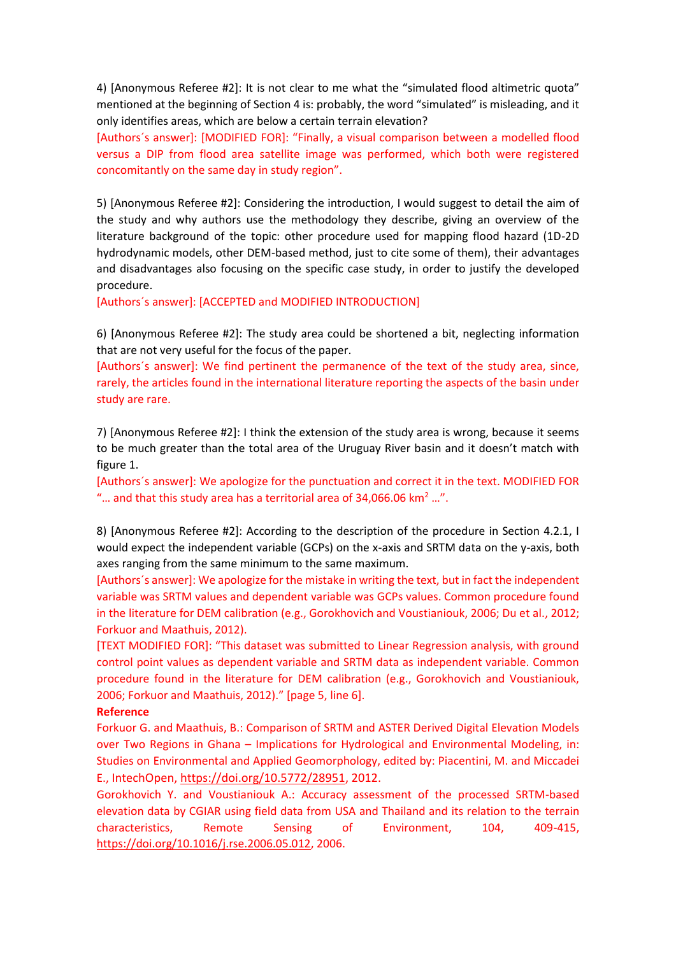4) [Anonymous Referee #2]: It is not clear to me what the "simulated flood altimetric quota" mentioned at the beginning of Section 4 is: probably, the word "simulated" is misleading, and it only identifies areas, which are below a certain terrain elevation?

[Authors´s answer]: [MODIFIED FOR]: "Finally, a visual comparison between a modelled flood versus a DIP from flood area satellite image was performed, which both were registered concomitantly on the same day in study region".

5) [Anonymous Referee #2]: Considering the introduction, I would suggest to detail the aim of the study and why authors use the methodology they describe, giving an overview of the literature background of the topic: other procedure used for mapping flood hazard (1D-2D hydrodynamic models, other DEM-based method, just to cite some of them), their advantages and disadvantages also focusing on the specific case study, in order to justify the developed procedure.

[Authors´s answer]: [ACCEPTED and MODIFIED INTRODUCTION]

6) [Anonymous Referee #2]: The study area could be shortened a bit, neglecting information that are not very useful for the focus of the paper.

[Authors´s answer]: We find pertinent the permanence of the text of the study area, since, rarely, the articles found in the international literature reporting the aspects of the basin under study are rare.

7) [Anonymous Referee #2]: I think the extension of the study area is wrong, because it seems to be much greater than the total area of the Uruguay River basin and it doesn't match with figure 1.

[Authors´s answer]: We apologize for the punctuation and correct it in the text. MODIFIED FOR "... and that this study area has a territorial area of 34,066.06 km<sup>2</sup> ...".

8) [Anonymous Referee #2]: According to the description of the procedure in Section 4.2.1, I would expect the independent variable (GCPs) on the x-axis and SRTM data on the y-axis, both axes ranging from the same minimum to the same maximum.

[Authors´s answer]: We apologize for the mistake in writing the text, but in fact the independent variable was SRTM values and dependent variable was GCPs values. Common procedure found in the literature for DEM calibration (e.g., Gorokhovich and Voustianiouk, 2006; Du et al., 2012; Forkuor and Maathuis, 2012).

[TEXT MODIFIED FOR]: "This dataset was submitted to Linear Regression analysis, with ground control point values as dependent variable and SRTM data as independent variable. Common procedure found in the literature for DEM calibration (e.g., Gorokhovich and Voustianiouk, 2006; Forkuor and Maathuis, 2012)." [page 5, line 6].

## **Reference**

Forkuor G. and Maathuis, B.: Comparison of SRTM and ASTER Derived Digital Elevation Models over Two Regions in Ghana – Implications for Hydrological and Environmental Modeling, in: Studies on Environmental and Applied Geomorphology, edited by: Piacentini, M. and Miccadei E., IntechOpen[, https://doi.org/10.5772/28951,](https://doi.org/10.5772/28951) 2012.

Gorokhovich Y. and Voustianiouk A.: Accuracy assessment of the processed SRTM-based elevation data by CGIAR using field data from USA and Thailand and its relation to the terrain characteristics, Remote Sensing of Environment, 104, 409-415, [https://doi.org/10.1016/j.rse.2006.05.012,](https://doi.org/10.1016/j.rse.2006.05.012) 2006.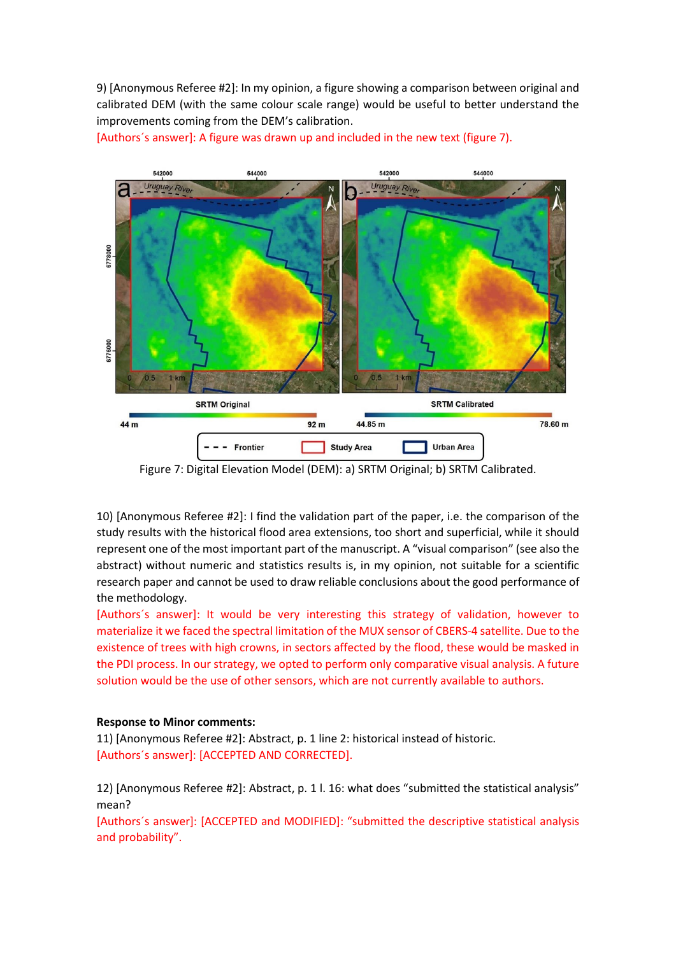9) [Anonymous Referee #2]: In my opinion, a figure showing a comparison between original and calibrated DEM (with the same colour scale range) would be useful to better understand the improvements coming from the DEM's calibration.



[Authors´s answer]: A figure was drawn up and included in the new text (figure 7).

Figure 7: Digital Elevation Model (DEM): a) SRTM Original; b) SRTM Calibrated.

10) [Anonymous Referee #2]: I find the validation part of the paper, i.e. the comparison of the study results with the historical flood area extensions, too short and superficial, while it should represent one of the most important part of the manuscript. A "visual comparison" (see also the abstract) without numeric and statistics results is, in my opinion, not suitable for a scientific research paper and cannot be used to draw reliable conclusions about the good performance of the methodology.

[Authors´s answer]: It would be very interesting this strategy of validation, however to materialize it we faced the spectral limitation of the MUX sensor of CBERS-4 satellite. Due to the existence of trees with high crowns, in sectors affected by the flood, these would be masked in the PDI process. In our strategy, we opted to perform only comparative visual analysis. A future solution would be the use of other sensors, which are not currently available to authors.

## **Response to Minor comments:**

11) [Anonymous Referee #2]: Abstract, p. 1 line 2: historical instead of historic. [Authors´s answer]: [ACCEPTED AND CORRECTED].

12) [Anonymous Referee #2]: Abstract, p. 1 l. 16: what does "submitted the statistical analysis" mean?

[Authors´s answer]: [ACCEPTED and MODIFIED]: "submitted the descriptive statistical analysis and probability".